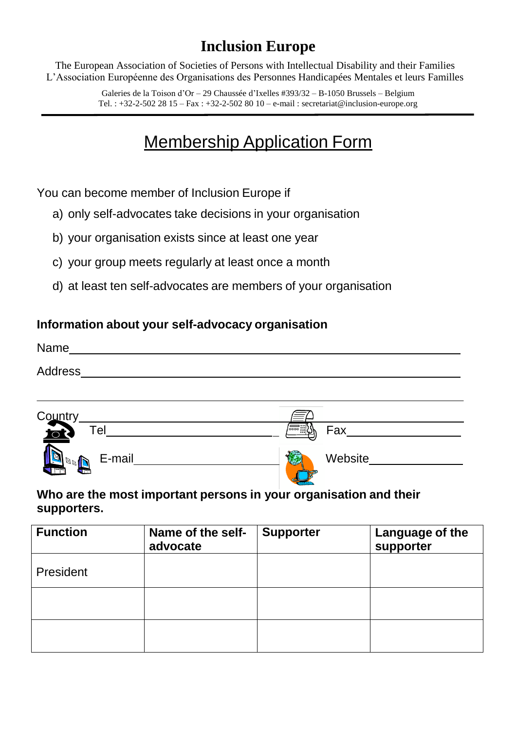## **Inclusion Europe**

The European Association of Societies of Persons with Intellectual Disability and their Families L'Association Européenne des Organisations des Personnes Handicapées Mentales et leurs Familles

> Galeries de la Toison d'Or – 29 Chaussée d'Ixelles #393/32 – B-1050 Brussels – Belgium Tel. : +32-2-502 28 15 – Fax : +32-2-502 80 10 – e-[mail : secretariat@inclusion-europe.org](mailto:secretariat@inclusion-europe.org)

# Membership Application Form

You can become member of Inclusion Europe if

- a) only self-advocates take decisions in your organisation
- b) your organisation exists since at least one year
- c) your group meets regularly at least once a month
- d) at least ten self-advocates are members of your organisation

### **Information about your self-advocacy organisation**

| Name           |  |  |  |
|----------------|--|--|--|
| <b>Address</b> |  |  |  |
|                |  |  |  |
|                |  |  |  |



#### **Who are the most important persons in your organisation and their supporters.**

| <b>Function</b> | Name of the self-<br>advocate | <b>Supporter</b> | Language of the<br>supporter |
|-----------------|-------------------------------|------------------|------------------------------|
| President       |                               |                  |                              |
|                 |                               |                  |                              |
|                 |                               |                  |                              |